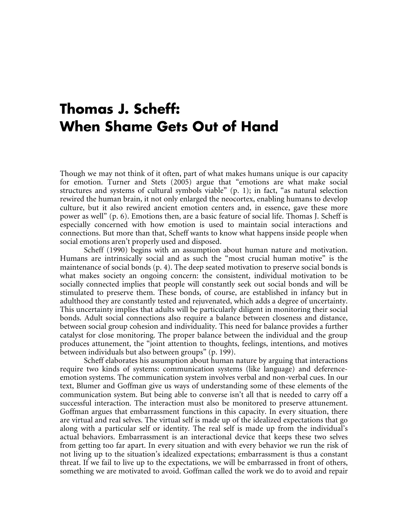## **Thomas J. Scheff: When Shame Gets Out of Hand**

Though we may not think of it often, part of what makes humans unique is our capacity for emotion. Turner and Stets (2005) argue that "emotions are what make social structures and systems of cultural symbols viable" (p. 1); in fact, "as natural selection rewired the human brain, it not only enlarged the neocortex, enabling humans to develop culture, but it also rewired ancient emotion centers and, in essence, gave these more power as well" (p. 6). Emotions then, are a basic feature of social life. Thomas J. Scheff is especially concerned with how emotion is used to maintain social interactions and connections. But more than that, Scheff wants to know what happens inside people when social emotions aren't properly used and disposed.

Scheff (1990) begins with an assumption about human nature and motivation. Humans are intrinsically social and as such the "most crucial human motive" is the maintenance of social bonds (p. 4). The deep seated motivation to preserve social bonds is what makes society an ongoing concern: the consistent, individual motivation to be socially connected implies that people will constantly seek out social bonds and will be stimulated to preserve them. These bonds, of course, are established in infancy but in adulthood they are constantly tested and rejuvenated, which adds a degree of uncertainty. This uncertainty implies that adults will be particularly diligent in monitoring their social bonds. Adult social connections also require a balance between closeness and distance, between social group cohesion and individuality. This need for balance provides a further catalyst for close monitoring. The proper balance between the individual and the group produces attunement, the "joint attention to thoughts, feelings, intentions, and motives between individuals but also between groups" (p. 199).

Scheff elaborates his assumption about human nature by arguing that interactions require two kinds of systems: communication systems (like language) and deferenceemotion systems. The communication system involves verbal and non-verbal cues. In our text, Blumer and Goffman give us ways of understanding some of these elements of the communication system. But being able to converse isn't all that is needed to carry off a successful interaction. The interaction must also be monitored to preserve attunement. Goffman argues that embarrassment functions in this capacity. In every situation, there are virtual and real selves. The virtual self is made up of the idealized expectations that go along with a particular self or identity. The real self is made up from the individual's actual behaviors. Embarrassment is an interactional device that keeps these two selves from getting too far apart. In every situation and with every behavior we run the risk of not living up to the situation's idealized expectations; embarrassment is thus a constant threat. If we fail to live up to the expectations, we will be embarrassed in front of others, something we are motivated to avoid. Goffman called the work we do to avoid and repair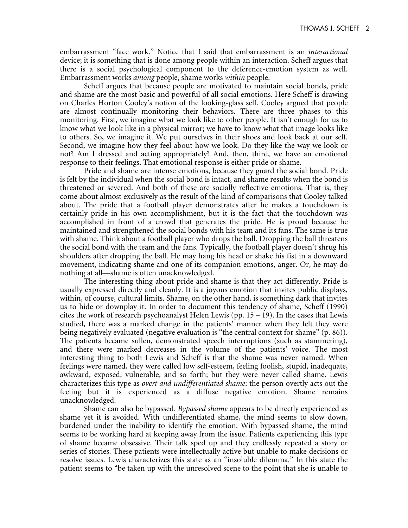embarrassment "face work." Notice that I said that embarrassment is an *interactional* device; it is something that is done among people within an interaction. Scheff argues that there is a social psychological component to the deference-emotion system as well. Embarrassment works *among* people, shame works *within* people.

Scheff argues that because people are motivated to maintain social bonds, pride and shame are the most basic and powerful of all social emotions. Here Scheff is drawing on Charles Horton Cooley's notion of the looking-glass self. Cooley argued that people are almost continually monitoring their behaviors. There are three phases to this monitoring. First, we imagine what we look like to other people. It isn't enough for us to know what we look like in a physical mirror; we have to know what that image looks like to others. So, we imagine it. We put ourselves in their shoes and look back at our self. Second, we imagine how they feel about how we look. Do they like the way we look or not? Am I dressed and acting appropriately? And, then, third, we have an emotional response to their feelings. That emotional response is either pride or shame.

Pride and shame are intense emotions, because they guard the social bond. Pride is felt by the individual when the social bond is intact, and shame results when the bond is threatened or severed. And both of these are socially reflective emotions. That is, they come about almost exclusively as the result of the kind of comparisons that Cooley talked about. The pride that a football player demonstrates after he makes a touchdown is certainly pride in his own accomplishment, but it is the fact that the touchdown was accomplished in front of a crowd that generates the pride. He is proud because he maintained and strengthened the social bonds with his team and its fans. The same is true with shame. Think about a football player who drops the ball. Dropping the ball threatens the social bond with the team and the fans. Typically, the football player doesn't shrug his shoulders after dropping the ball. He may hang his head or shake his fist in a downward movement, indicating shame and one of its companion emotions, anger. Or, he may do nothing at all—shame is often unacknowledged.

The interesting thing about pride and shame is that they act differently. Pride is usually expressed directly and cleanly. It is a joyous emotion that invites public displays, within, of course, cultural limits. Shame, on the other hand, is something dark that invites us to hide or downplay it. In order to document this tendency of shame, Scheff (1990) cites the work of research psychoanalyst Helen Lewis (pp. 15 – 19). In the cases that Lewis studied, there was a marked change in the patients' manner when they felt they were being negatively evaluated (negative evaluation is "the central context for shame" (p. 86)). The patients became sullen, demonstrated speech interruptions (such as stammering), and there were marked decreases in the volume of the patients' voice. The most interesting thing to both Lewis and Scheff is that the shame was never named. When feelings were named, they were called low self-esteem, feeling foolish, stupid, inadequate, awkward, exposed, vulnerable, and so forth; but they were never called shame. Lewis characterizes this type as *overt and undifferentiated shame*: the person overtly acts out the feeling but it is experienced as a diffuse negative emotion. Shame remains unacknowledged.

Shame can also be bypassed. *Bypassed shame* appears to be directly experienced as shame yet it is avoided. With undifferentiated shame, the mind seems to slow down, burdened under the inability to identify the emotion. With bypassed shame, the mind seems to be working hard at keeping away from the issue. Patients experiencing this type of shame became obsessive. Their talk sped up and they endlessly repeated a story or series of stories. These patients were intellectually active but unable to make decisions or resolve issues. Lewis characterizes this state as an "insoluble dilemma." In this state the patient seems to "be taken up with the unresolved scene to the point that she is unable to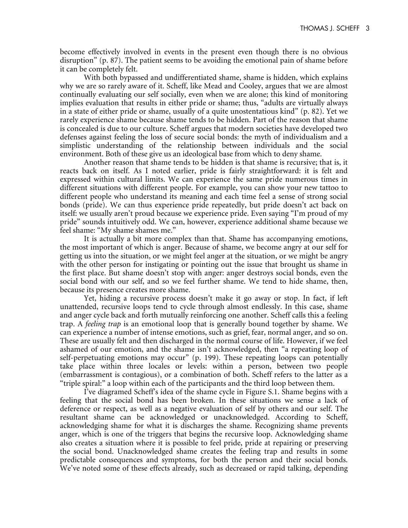become effectively involved in events in the present even though there is no obvious disruption" (p. 87). The patient seems to be avoiding the emotional pain of shame before it can be completely felt.

With both bypassed and undifferentiated shame, shame is hidden, which explains why we are so rarely aware of it. Scheff, like Mead and Cooley, argues that we are almost continually evaluating our self socially, even when we are alone; this kind of monitoring implies evaluation that results in either pride or shame; thus, "adults are virtually always in a state of either pride or shame, usually of a quite unostentatious kind" (p. 82). Yet we rarely experience shame because shame tends to be hidden. Part of the reason that shame is concealed is due to our culture. Scheff argues that modern societies have developed two defenses against feeling the loss of secure social bonds: the myth of individualism and a simplistic understanding of the relationship between individuals and the social environment. Both of these give us an ideological base from which to deny shame.

Another reason that shame tends to be hidden is that shame is recursive; that is, it reacts back on itself. As I noted earlier, pride is fairly straightforward: it is felt and expressed within cultural limits. We can experience the same pride numerous times in different situations with different people. For example, you can show your new tattoo to different people who understand its meaning and each time feel a sense of strong social bonds (pride). We can thus experience pride repeatedly, but pride doesn't act back on itself: we usually aren't proud because we experience pride. Even saying "I'm proud of my pride" sounds intuitively odd. We can, however, experience additional shame because we feel shame: "My shame shames me."

It is actually a bit more complex than that. Shame has accompanying emotions, the most important of which is anger. Because of shame, we become angry at our self for getting us into the situation, or we might feel anger at the situation, or we might be angry with the other person for instigating or pointing out the issue that brought us shame in the first place. But shame doesn't stop with anger: anger destroys social bonds, even the social bond with our self, and so we feel further shame. We tend to hide shame, then, because its presence creates more shame.

Yet, hiding a recursive process doesn't make it go away or stop. In fact, if left unattended, recursive loops tend to cycle through almost endlessly. In this case, shame and anger cycle back and forth mutually reinforcing one another. Scheff calls this a feeling trap. A *feeling trap* is an emotional loop that is generally bound together by shame. We can experience a number of intense emotions, such as grief, fear, normal anger, and so on. These are usually felt and then discharged in the normal course of life. However, if we feel ashamed of our emotion, and the shame isn't acknowledged, then "a repeating loop of self-perpetuating emotions may occur" (p. 199). These repeating loops can potentially take place within three locales or levels: within a person, between two people (embarrassment is contagious), or a combination of both. Scheff refers to the latter as a "triple spiral:" a loop within each of the participants and the third loop between them.

I've diagramed Scheff's idea of the shame cycle in Figure S.1. Shame begins with a feeling that the social bond has been broken. In these situations we sense a lack of deference or respect, as well as a negative evaluation of self by others and our self. The resultant shame can be acknowledged or unacknowledged. According to Scheff, acknowledging shame for what it is discharges the shame. Recognizing shame prevents anger, which is one of the triggers that begins the recursive loop. Acknowledging shame also creates a situation where it is possible to feel pride, pride at repairing or preserving the social bond. Unacknowledged shame creates the feeling trap and results in some predictable consequences and symptoms, for both the person and their social bonds. We've noted some of these effects already, such as decreased or rapid talking, depending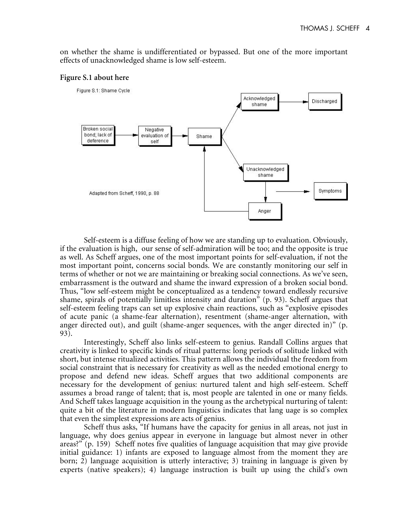on whether the shame is undifferentiated or bypassed. But one of the more important effects of unacknowledged shame is low self-esteem.

## **Figure S.1 about here**



Self-esteem is a diffuse feeling of how we are standing up to evaluation. Obviously, if the evaluation is high, our sense of self-admiration will be too; and the opposite is true as well. As Scheff argues, one of the most important points for self-evaluation, if not the most important point, concerns social bonds. We are constantly monitoring our self in terms of whether or not we are maintaining or breaking social connections. As we've seen, embarrassment is the outward and shame the inward expression of a broken social bond. Thus, "low self-esteem might be conceptualized as a tendency toward endlessly recursive shame, spirals of potentially limitless intensity and duration" (p. 93). Scheff argues that self-esteem feeling traps can set up explosive chain reactions, such as "explosive episodes of acute panic (a shame-fear alternation), resentment (shame-anger alternation, with anger directed out), and guilt (shame-anger sequences, with the anger directed in)" (p. 93).

Interestingly, Scheff also links self-esteem to genius. Randall Collins argues that creativity is linked to specific kinds of ritual patterns: long periods of solitude linked with short, but intense ritualized activities. This pattern allows the individual the freedom from social constraint that is necessary for creativity as well as the needed emotional energy to propose and defend new ideas. Scheff argues that two additional components are necessary for the development of genius: nurtured talent and high self-esteem. Scheff assumes a broad range of talent; that is, most people are talented in one or many fields. And Scheff takes language acquisition in the young as the archetypical nurturing of talent: quite a bit of the literature in modern linguistics indicates that lang uage is so complex that even the simplest expressions are acts of genius.

Scheff thus asks, "If humans have the capacity for genius in all areas, not just in language, why does genius appear in everyone in language but almost never in other areas?" (p. 159) Scheff notes five qualities of language acquisition that may give provide initial guidance: 1) infants are exposed to language almost from the moment they are born; 2) language acquisition is utterly interactive; 3) training in language is given by experts (native speakers); 4) language instruction is built up using the child's own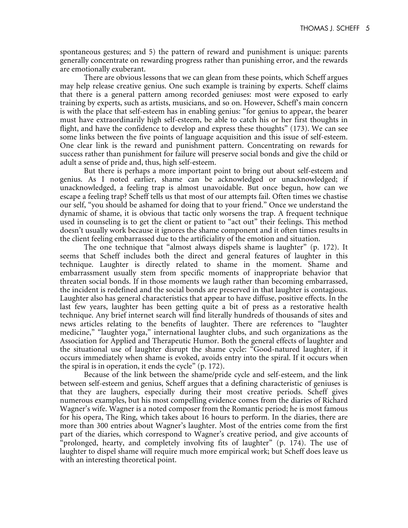spontaneous gestures; and 5) the pattern of reward and punishment is unique: parents generally concentrate on rewarding progress rather than punishing error, and the rewards are emotionally exuberant.

There are obvious lessons that we can glean from these points, which Scheff argues may help release creative genius. One such example is training by experts. Scheff claims that there is a general pattern among recorded geniuses: most were exposed to early training by experts, such as artists, musicians, and so on. However, Scheff's main concern is with the place that self-esteem has in enabling genius: "for genius to appear, the bearer must have extraordinarily high self-esteem, be able to catch his or her first thoughts in flight, and have the confidence to develop and express these thoughts" (173). We can see some links between the five points of language acquisition and this issue of self-esteem. One clear link is the reward and punishment pattern. Concentrating on rewards for success rather than punishment for failure will preserve social bonds and give the child or adult a sense of pride and, thus, high self-esteem.

But there is perhaps a more important point to bring out about self-esteem and genius. As I noted earlier, shame can be acknowledged or unacknowledged; if unacknowledged, a feeling trap is almost unavoidable. But once begun, how can we escape a feeling trap? Scheff tells us that most of our attempts fail. Often times we chastise our self, "you should be ashamed for doing that to your friend." Once we understand the dynamic of shame, it is obvious that tactic only worsens the trap. A frequent technique used in counseling is to get the client or patient to "act out" their feelings. This method doesn't usually work because it ignores the shame component and it often times results in the client feeling embarrassed due to the artificiality of the emotion and situation.

The one technique that "almost always dispels shame is laughter" (p. 172). It seems that Scheff includes both the direct and general features of laughter in this technique. Laughter is directly related to shame in the moment. Shame and embarrassment usually stem from specific moments of inappropriate behavior that threaten social bonds. If in those moments we laugh rather than becoming embarrassed, the incident is redefined and the social bonds are preserved in that laughter is contagious. Laughter also has general characteristics that appear to have diffuse, positive effects. In the last few years, laughter has been getting quite a bit of press as a restorative health technique. Any brief internet search will find literally hundreds of thousands of sites and news articles relating to the benefits of laughter. There are references to "laughter medicine," "laughter yoga," international laughter clubs, and such organizations as the Association for Applied and Therapeutic Humor. Both the general effects of laughter and the situational use of laughter disrupt the shame cycle: "Good-natured laughter, if it occurs immediately when shame is evoked, avoids entry into the spiral. If it occurs when the spiral is in operation, it ends the cycle" (p. 172).

Because of the link between the shame/pride cycle and self-esteem, and the link between self-esteem and genius, Scheff argues that a defining characteristic of geniuses is that they are laughers, especially during their most creative periods. Scheff gives numerous examples, but his most compelling evidence comes from the diaries of Richard Wagner's wife. Wagner is a noted composer from the Romantic period; he is most famous for his opera, The Ring, which takes about 16 hours to perform. In the diaries, there are more than 300 entries about Wagner's laughter. Most of the entries come from the first part of the diaries, which correspond to Wagner's creative period, and give accounts of "prolonged, hearty, and completely involving fits of laughter" (p. 174). The use of laughter to dispel shame will require much more empirical work; but Scheff does leave us with an interesting theoretical point.